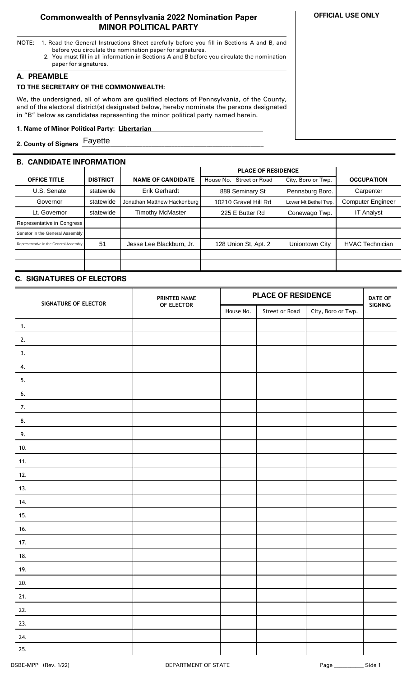## **Commonwealth of Pennsylvania 2022 Nomination Paper MINOR POLITICAL PARTY**

- NOTE: 1. Read the General Instructions Sheet carefully before you fill in Sections A and B, and before you circulate the nomination paper for signatures.
	- 2. You must fill in all information in Sections A and B before you circulate the nomination paper for signatures.

## **A. PREAMBLE**

### **TO THE SECRETARY OF THE COMMONWEALTH:**

We, the undersigned, all of whom are qualified electors of Pennsylvania, of the County, and of the electoral district(s) designated below, hereby nominate the persons designated in "B" below as candidates representing the minor political party named herein.

#### **1. Name of Minor Political Party: Libertarian ..**

**2. County of Signers \_\_\_\_\_\_\_\_\_\_\_\_\_\_\_\_\_\_\_\_\_\_\_\_\_\_\_\_\_\_\_\_\_\_\_\_\_\_\_\_\_\_\_\_\_\_\_\_\_\_\_\_\_\_\_\_\_** Fayette

## **B. CANDIDATE INFORMATION**

|                                        |                 |                             | <b>PLACE OF RESIDENCE</b>   |                      |                          |
|----------------------------------------|-----------------|-----------------------------|-----------------------------|----------------------|--------------------------|
| <b>OFFICE TITLE</b>                    | <b>DISTRICT</b> | <b>NAME OF CANDIDATE</b>    | Street or Road<br>House No. | City, Boro or Twp.   | <b>OCCUPATION</b>        |
| U.S. Senate                            | statewide       | Erik Gerhardt               | 889 Seminary St             | Pennsburg Boro.      | Carpenter                |
| Governor                               | statewide       | Jonathan Matthew Hackenburg | 10210 Gravel Hill Rd        | Lower Mt Bethel Twp. | <b>Computer Engineer</b> |
| Lt. Governor                           | statewide       | Timothy McMaster            | 225 E Butter Rd             | Conewago Twp.        | <b>IT Analyst</b>        |
| Representative in Congress             |                 |                             |                             |                      |                          |
| Senator in the General Assembly        |                 |                             |                             |                      |                          |
| Representative in the General Assembly | 51              | Jesse Lee Blackburn, Jr.    | 128 Union St, Apt. 2        | Uniontown City       | <b>HVAC Technician</b>   |
|                                        |                 |                             |                             |                      |                          |
|                                        |                 |                             |                             |                      |                          |

# **C. SIGNATURES OF ELECTORS**

| SIGNATURE OF ELECTOR | PRINTED NAME | <b>PLACE OF RESIDENCE</b> |                |                    | <b>DATE OF</b> |
|----------------------|--------------|---------------------------|----------------|--------------------|----------------|
|                      | OF ELECTOR   | House No.                 | Street or Road | City, Boro or Twp. | SIGNING        |
| 1.                   |              |                           |                |                    |                |
| 2.                   |              |                           |                |                    |                |
| 3.                   |              |                           |                |                    |                |
| 4.                   |              |                           |                |                    |                |
| 5.                   |              |                           |                |                    |                |
| 6.                   |              |                           |                |                    |                |
| 7.                   |              |                           |                |                    |                |
| 8.                   |              |                           |                |                    |                |
| 9.                   |              |                           |                |                    |                |
| 10.                  |              |                           |                |                    |                |
| 11.                  |              |                           |                |                    |                |
| 12.                  |              |                           |                |                    |                |
| 13.                  |              |                           |                |                    |                |
| 14.                  |              |                           |                |                    |                |
| 15.                  |              |                           |                |                    |                |
| 16.                  |              |                           |                |                    |                |
| 17.                  |              |                           |                |                    |                |
| 18.                  |              |                           |                |                    |                |
| 19.                  |              |                           |                |                    |                |
| 20.                  |              |                           |                |                    |                |
| 21.                  |              |                           |                |                    |                |
| 22.                  |              |                           |                |                    |                |
| 23.                  |              |                           |                |                    |                |
| 24.                  |              |                           |                |                    |                |
| 25.                  |              |                           |                |                    |                |